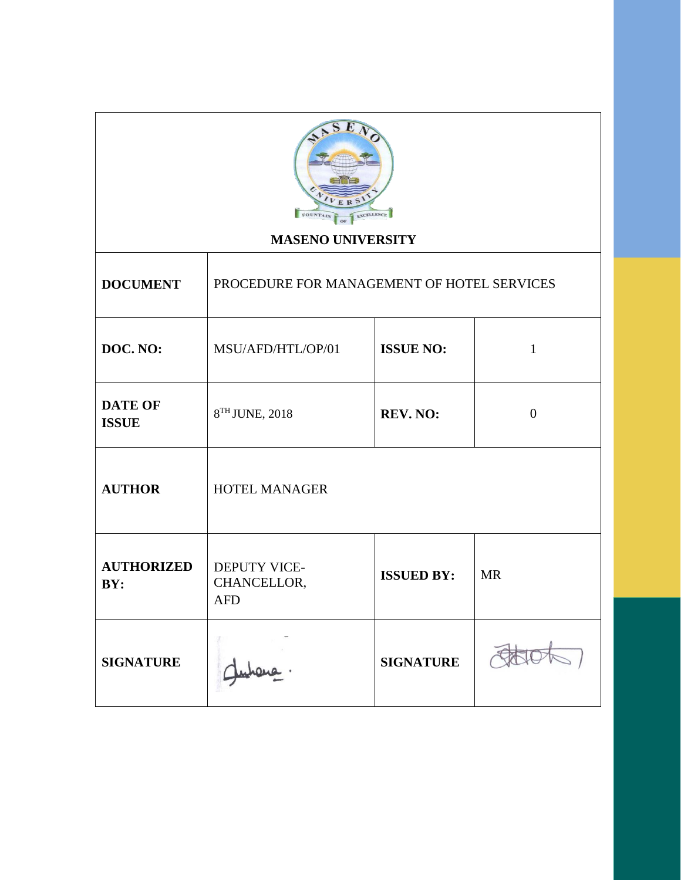| <b>ERS</b><br>FOUNTAIN<br>EXCELLENCE<br><b>MASENO UNIVERSITY</b> |                                                                             |                  |  |  |  |
|------------------------------------------------------------------|-----------------------------------------------------------------------------|------------------|--|--|--|
| <b>DOCUMENT</b><br>PROCEDURE FOR MANAGEMENT OF HOTEL SERVICES    |                                                                             |                  |  |  |  |
| DOC. NO:                                                         | MSU/AFD/HTL/OP/01<br><b>ISSUE NO:</b><br>$\mathbf 1$                        |                  |  |  |  |
| <b>DATE OF</b><br><b>ISSUE</b>                                   | 8TH JUNE, 2018<br>REV. NO:<br>$\mathbf{0}$                                  |                  |  |  |  |
| <b>AUTHOR</b>                                                    | HOTEL MANAGER                                                               |                  |  |  |  |
| <b>AUTHORIZED</b><br>BY:                                         | DEPUTY VICE-<br><b>ISSUED BY:</b><br><b>MR</b><br>CHANCELLOR,<br><b>AFD</b> |                  |  |  |  |
| <b>SIGNATURE</b>                                                 |                                                                             | <b>SIGNATURE</b> |  |  |  |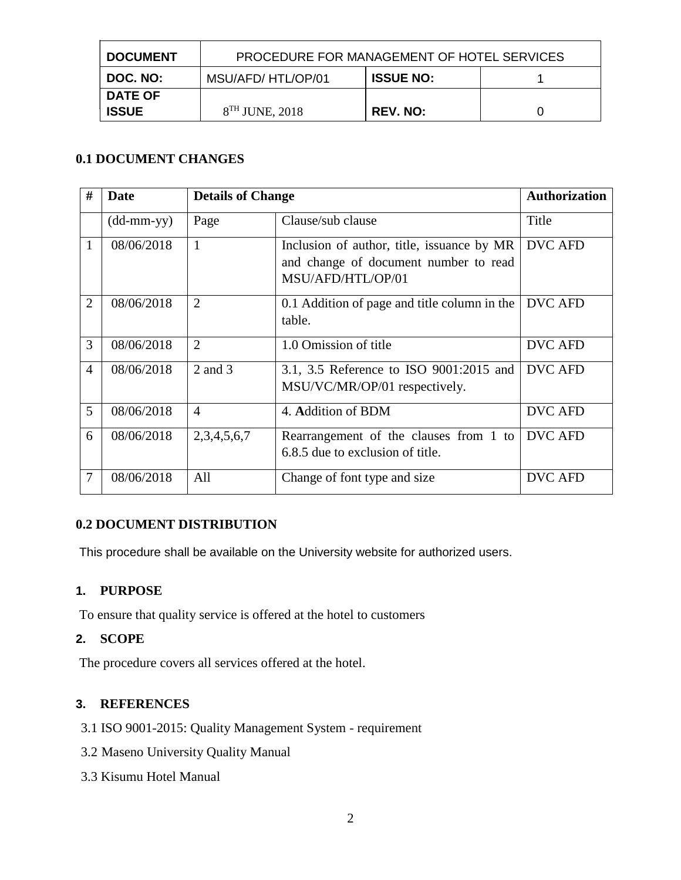| <b>DOCUMENT</b> | PROCEDURE FOR MANAGEMENT OF HOTEL SERVICES |                 |  |  |  |
|-----------------|--------------------------------------------|-----------------|--|--|--|
| <b>DOC. NO:</b> | <b>ISSUE NO:</b><br>MSU/AFD/HTL/OP/01      |                 |  |  |  |
| <b>DATE OF</b>  |                                            |                 |  |  |  |
| <b>ISSUE</b>    | $8TH$ JUNE, 2018                           | <b>REV. NO:</b> |  |  |  |

# **0.1 DOCUMENT CHANGES**

| #              | Date                       | <b>Details of Change</b> |                                                                                                          | <b>Authorization</b> |
|----------------|----------------------------|--------------------------|----------------------------------------------------------------------------------------------------------|----------------------|
|                | $(dd\text{-}mm\text{-}yy)$ | Page                     | Clause/sub clause                                                                                        | Title                |
| 1              | 08/06/2018                 | 1                        | Inclusion of author, title, issuance by MR<br>and change of document number to read<br>MSU/AFD/HTL/OP/01 | <b>DVC AFD</b>       |
| $\overline{2}$ | 08/06/2018                 | $\overline{2}$           | 0.1 Addition of page and title column in the<br>table.                                                   | <b>DVC AFD</b>       |
| 3              | 08/06/2018                 | $\overline{2}$           | 1.0 Omission of title                                                                                    | <b>DVC AFD</b>       |
| $\overline{4}$ | 08/06/2018                 | 2 and 3                  | 3.1, 3.5 Reference to ISO 9001:2015 and<br>MSU/VC/MR/OP/01 respectively.                                 | <b>DVC AFD</b>       |
| 5              | 08/06/2018                 | $\overline{4}$           | 4. Addition of BDM                                                                                       | <b>DVC AFD</b>       |
| 6              | 08/06/2018                 | 2,3,4,5,6,7              | Rearrangement of the clauses from 1 to<br>6.8.5 due to exclusion of title.                               | <b>DVC AFD</b>       |
|                | 08/06/2018                 | All                      | Change of font type and size                                                                             | <b>DVC AFD</b>       |

## **0.2 DOCUMENT DISTRIBUTION**

This procedure shall be available on the University website for authorized users.

## **1. PURPOSE**

To ensure that quality service is offered at the hotel to customers

# **2. SCOPE**

The procedure covers all services offered at the hotel.

## **3. REFERENCES**

- 3.1 ISO 9001-2015: Quality Management System requirement
- 3.2 Maseno University Quality Manual
- 3.3 Kisumu Hotel Manual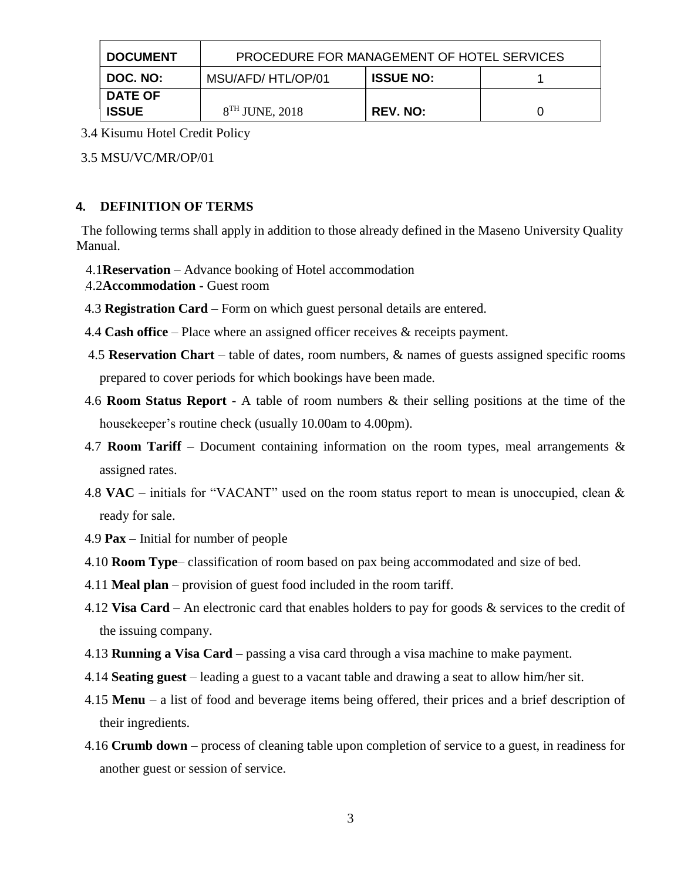| <b>DOCUMENT</b>                | PROCEDURE FOR MANAGEMENT OF HOTEL SERVICES |                 |  |  |
|--------------------------------|--------------------------------------------|-----------------|--|--|
| DOC. NO:                       | <b>ISSUE NO:</b><br>MSU/AFD/HTL/OP/01      |                 |  |  |
| <b>DATE OF</b><br><b>ISSUE</b> | $8TH$ JUNE, 2018                           | <b>REV. NO:</b> |  |  |

3.4 Kisumu Hotel Credit Policy

3.5 MSU/VC/MR/OP/01

## **4. DEFINITION OF TERMS**

The following terms shall apply in addition to those already defined in the Maseno University Quality Manual.

- 4.1**Reservation** Advance booking of Hotel accommodation
- 4.2**Accommodation -** Guest room
- 4.3 **Registration Card** Form on which guest personal details are entered.
- 4.4 **Cash office** Place where an assigned officer receives & receipts payment.
- 4.5 **Reservation Chart** table of dates, room numbers, & names of guests assigned specific rooms prepared to cover periods for which bookings have been made.
- 4.6 **Room Status Report** A table of room numbers & their selling positions at the time of the housekeeper's routine check (usually 10.00am to 4.00pm).
- 4.7 **Room Tariff** Document containing information on the room types, meal arrangements  $\&$ assigned rates.
- 4.8 **VAC** initials for "VACANT" used on the room status report to mean is unoccupied, clean & ready for sale.
- 4.9 **Pax** Initial for number of people
- 4.10 **Room Type** classification of room based on pax being accommodated and size of bed.
- 4.11 **Meal plan** provision of guest food included in the room tariff.
- 4.12 **Visa Card** An electronic card that enables holders to pay for goods & services to the credit of the issuing company.
- 4.13 **Running a Visa Card** passing a visa card through a visa machine to make payment.
- 4.14 **Seating guest** leading a guest to a vacant table and drawing a seat to allow him/her sit.
- 4.15 **Menu** a list of food and beverage items being offered, their prices and a brief description of their ingredients.
- 4.16 **Crumb down** process of cleaning table upon completion of service to a guest, in readiness for another guest or session of service.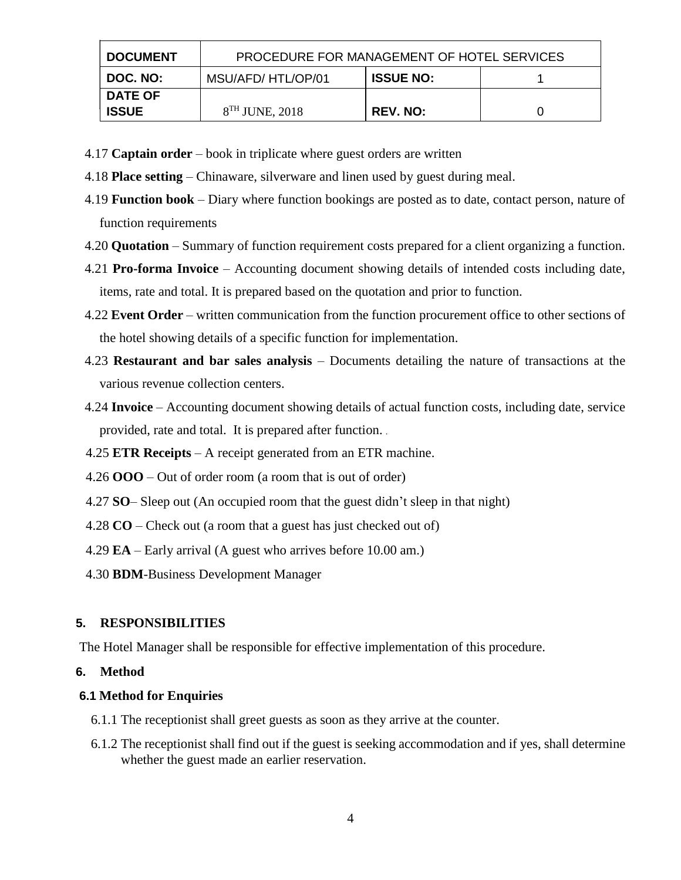| <b>DOCUMENT</b> | PROCEDURE FOR MANAGEMENT OF HOTEL SERVICES |          |  |  |
|-----------------|--------------------------------------------|----------|--|--|
| DOC. NO:        | <b>ISSUE NO:</b><br>MSU/AFD/HTL/OP/01      |          |  |  |
| <b>DATE OF</b>  |                                            |          |  |  |
| <b>ISSUE</b>    | $8TH$ JUNE, 2018                           | REV. NO: |  |  |

- 4.17 **Captain order** book in triplicate where guest orders are written
- 4.18 **Place setting** Chinaware, silverware and linen used by guest during meal.
- 4.19 **Function book** Diary where function bookings are posted as to date, contact person, nature of function requirements
- 4.20 **Quotation** Summary of function requirement costs prepared for a client organizing a function.
- 4.21 **Pro-forma Invoice** Accounting document showing details of intended costs including date, items, rate and total. It is prepared based on the quotation and prior to function.
- 4.22 **Event Order** written communication from the function procurement office to other sections of the hotel showing details of a specific function for implementation.
- 4.23 **Restaurant and bar sales analysis** Documents detailing the nature of transactions at the various revenue collection centers.
- 4.24 **Invoice** Accounting document showing details of actual function costs, including date, service provided, rate and total. It is prepared after function.
- 4.25 **ETR Receipts** A receipt generated from an ETR machine.
- 4.26 **OOO** Out of order room (a room that is out of order)
- 4.27 **SO** Sleep out (An occupied room that the guest didn't sleep in that night)
- 4.28 **CO** Check out (a room that a guest has just checked out of)
- 4.29 **EA** Early arrival (A guest who arrives before 10.00 am.)
- 4.30 **BDM**-Business Development Manager

## **5. RESPONSIBILITIES**

The Hotel Manager shall be responsible for effective implementation of this procedure.

#### **6. Method**

#### **6.1 Method for Enquiries**

- 6.1.1 The receptionist shall greet guests as soon as they arrive at the counter.
- 6.1.2 The receptionist shall find out if the guest is seeking accommodation and if yes, shall determine whether the guest made an earlier reservation.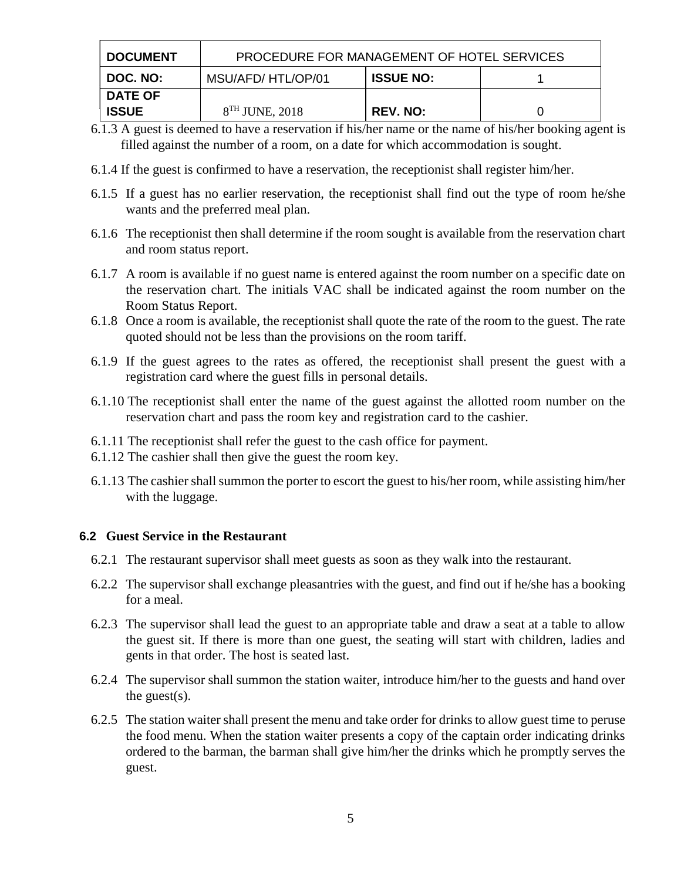| <b>DOCUMENT</b> | <b>PROCEDURE FOR MANAGEMENT OF HOTEL SERVICES</b> |                 |  |  |  |
|-----------------|---------------------------------------------------|-----------------|--|--|--|
| DOC. NO:        | <b>ISSUE NO:</b><br>MSU/AFD/HTL/OP/01             |                 |  |  |  |
| <b>DATE OF</b>  |                                                   |                 |  |  |  |
| <b>ISSUE</b>    | $8TH$ JUNE, 2018                                  | <b>REV. NO:</b> |  |  |  |

- 6.1.3 A guest is deemed to have a reservation if his/her name or the name of his/her booking agent is filled against the number of a room, on a date for which accommodation is sought.
- 6.1.4 If the guest is confirmed to have a reservation, the receptionist shall register him/her.
- 6.1.5 If a guest has no earlier reservation, the receptionist shall find out the type of room he/she wants and the preferred meal plan.
- 6.1.6 The receptionist then shall determine if the room sought is available from the reservation chart and room status report.
- 6.1.7 A room is available if no guest name is entered against the room number on a specific date on the reservation chart. The initials VAC shall be indicated against the room number on the Room Status Report.
- 6.1.8 Once a room is available, the receptionist shall quote the rate of the room to the guest. The rate quoted should not be less than the provisions on the room tariff.
- 6.1.9 If the guest agrees to the rates as offered, the receptionist shall present the guest with a registration card where the guest fills in personal details.
- 6.1.10 The receptionist shall enter the name of the guest against the allotted room number on the reservation chart and pass the room key and registration card to the cashier.
- 6.1.11 The receptionist shall refer the guest to the cash office for payment.
- 6.1.12 The cashier shall then give the guest the room key.
- 6.1.13 The cashier shall summon the porter to escort the guest to his/her room, while assisting him/her with the luggage.

## **6.2 Guest Service in the Restaurant**

- 6.2.1 The restaurant supervisor shall meet guests as soon as they walk into the restaurant.
- 6.2.2 The supervisor shall exchange pleasantries with the guest, and find out if he/she has a booking for a meal.
- 6.2.3 The supervisor shall lead the guest to an appropriate table and draw a seat at a table to allow the guest sit. If there is more than one guest, the seating will start with children, ladies and gents in that order. The host is seated last.
- 6.2.4 The supervisor shall summon the station waiter, introduce him/her to the guests and hand over the guest $(s)$ .
- 6.2.5 The station waiter shall present the menu and take order for drinks to allow guest time to peruse the food menu. When the station waiter presents a copy of the captain order indicating drinks ordered to the barman, the barman shall give him/her the drinks which he promptly serves the guest.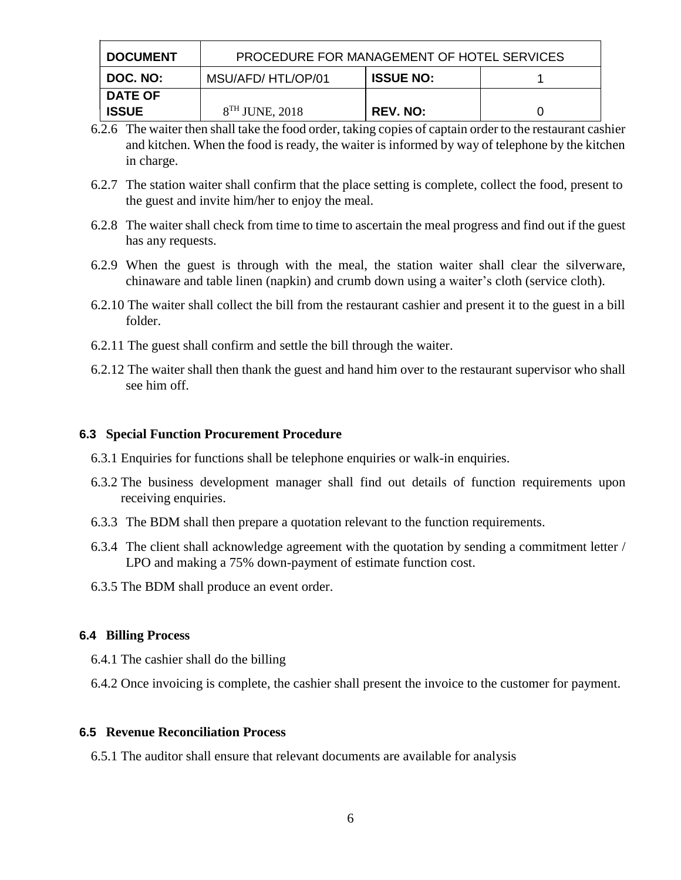| <b>DOCUMENT</b> | <b>PROCEDURE FOR MANAGEMENT OF HOTEL SERVICES</b> |                 |  |  |  |
|-----------------|---------------------------------------------------|-----------------|--|--|--|
| DOC. NO:        | <b>ISSUE NO:</b><br>MSU/AFD/HTL/OP/01             |                 |  |  |  |
| <b>DATE OF</b>  |                                                   |                 |  |  |  |
| <b>ISSUE</b>    | $8TH$ JUNE, 2018                                  | <b>REV. NO:</b> |  |  |  |

- 6.2.6 The waiter then shall take the food order, taking copies of captain order to the restaurant cashier and kitchen. When the food is ready, the waiter is informed by way of telephone by the kitchen in charge.
- 6.2.7 The station waiter shall confirm that the place setting is complete, collect the food, present to the guest and invite him/her to enjoy the meal.
- 6.2.8 The waiter shall check from time to time to ascertain the meal progress and find out if the guest has any requests.
- 6.2.9 When the guest is through with the meal, the station waiter shall clear the silverware, chinaware and table linen (napkin) and crumb down using a waiter's cloth (service cloth).
- 6.2.10 The waiter shall collect the bill from the restaurant cashier and present it to the guest in a bill folder.
- 6.2.11 The guest shall confirm and settle the bill through the waiter.
- 6.2.12 The waiter shall then thank the guest and hand him over to the restaurant supervisor who shall see him off.

#### **6.3 Special Function Procurement Procedure**

- 6.3.1 Enquiries for functions shall be telephone enquiries or walk-in enquiries.
- 6.3.2 The business development manager shall find out details of function requirements upon receiving enquiries.
- 6.3.3 The BDM shall then prepare a quotation relevant to the function requirements.
- 6.3.4 The client shall acknowledge agreement with the quotation by sending a commitment letter / LPO and making a 75% down-payment of estimate function cost.
- 6.3.5 The BDM shall produce an event order.

## **6.4 Billing Process**

- 6.4.1 The cashier shall do the billing
- 6.4.2 Once invoicing is complete, the cashier shall present the invoice to the customer for payment.

#### **6.5 Revenue Reconciliation Process**

6.5.1 The auditor shall ensure that relevant documents are available for analysis